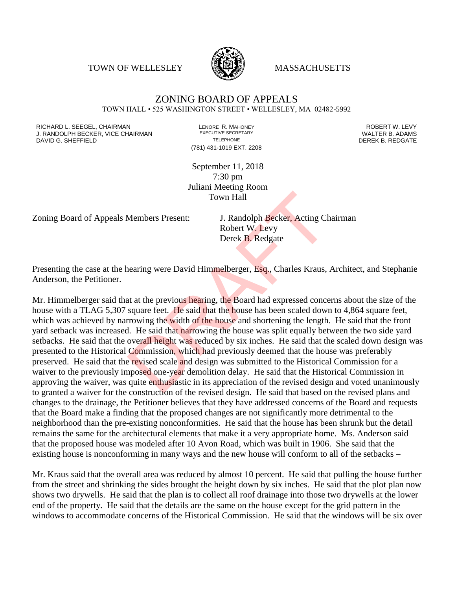TOWN OF WELLESLEY **WASSACHUSETTS** 



## ZONING BOARD OF APPEALS TOWN HALL • 525 WASHINGTON STREET • WELLESLEY, MA 02482-5992

RICHARD L. SEEGEL, CHAIRMAN LENORE R. MAHONEY ROBERT W. LEVY J. RANDOLPH BECKER, VICE CHAIRMAN EXECUTIVE SECRETARY OF TELEPHONE DAVID G. SHEFFIELD **TELEPHONE** TELEPHONE TELEPHONE **TELEPHONE DEREK B. REDGATE** 

(781) 431-1019 EXT. 2208

September 11, 2018 7:30 pm Juliani Meeting Room Town Hall

Zoning Board of Appeals Members Present: J. Randolph Becker, Acting Chairman

Robert W. Levy Derek B. Redgate

Presenting the case at the hearing were David Himmelberger, Esq., Charles Kraus, Architect, and Stephanie Anderson, the Petitioner.

Mr. Himmelberger said that at the previous hearing, the Board had expressed concerns about the size of the house with a TLAG 5,307 square feet. He said that the house has been scaled down to 4,864 square feet, which was achieved by narrowing the width of the house and shortening the length. He said that the front yard setback was increased. He said that narrowing the house was split equally between the two side yard setbacks. He said that the overall height was reduced by six inches. He said that the scaled down design was presented to the Historical Commission, which had previously deemed that the house was preferably preserved. He said that the revised scale and design was submitted to the Historical Commission for a waiver to the previously imposed one-year demolition delay. He said that the Historical Commission in approving the waiver, was quite enthusiastic in its appreciation of the revised design and voted unanimously to granted a waiver for the construction of the revised design. He said that based on the revised plans and changes to the drainage, the Petitioner believes that they have addressed concerns of the Board and requests that the Board make a finding that the proposed changes are not significantly more detrimental to the neighborhood than the pre-existing nonconformities. He said that the house has been shrunk but the detail remains the same for the architectural elements that make it a very appropriate home. Ms. Anderson said that the proposed house was modeled after 10 Avon Road, which was built in 1906. She said that the existing house is nonconforming in many ways and the new house will conform to all of the setbacks – Town Hall<br>
Members Present: J. Randolph Becker, Acting Ch<br>
Robert W. Levy<br>
Derek B. Redgate<br>
nearing were David Himmelberger, Esq., Charles Kraus,<br>
at at the previous hearing, the Board had expressed conce<br>
square feet. He

Mr. Kraus said that the overall area was reduced by almost 10 percent. He said that pulling the house further from the street and shrinking the sides brought the height down by six inches. He said that the plot plan now shows two drywells. He said that the plan is to collect all roof drainage into those two drywells at the lower end of the property. He said that the details are the same on the house except for the grid pattern in the windows to accommodate concerns of the Historical Commission. He said that the windows will be six over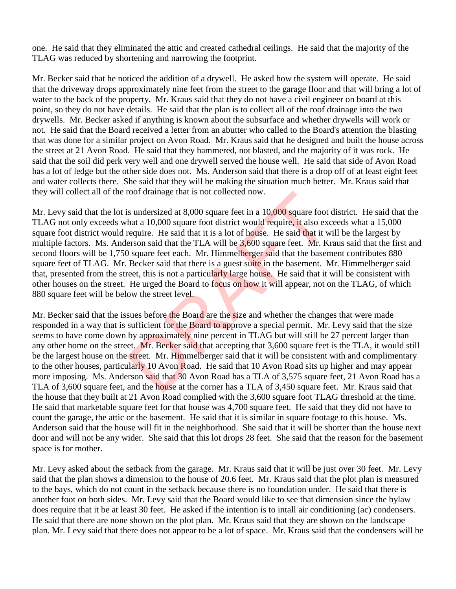one. He said that they eliminated the attic and created cathedral ceilings. He said that the majority of the TLAG was reduced by shortening and narrowing the footprint.

Mr. Becker said that he noticed the addition of a drywell. He asked how the system will operate. He said that the driveway drops approximately nine feet from the street to the garage floor and that will bring a lot of water to the back of the property. Mr. Kraus said that they do not have a civil engineer on board at this point, so they do not have details. He said that the plan is to collect all of the roof drainage into the two drywells. Mr. Becker asked if anything is known about the subsurface and whether drywells will work or not. He said that the Board received a letter from an abutter who called to the Board's attention the blasting that was done for a similar project on Avon Road. Mr. Kraus said that he designed and built the house across the street at 21 Avon Road. He said that they hammered, not blasted, and the majority of it was rock. He said that the soil did perk very well and one drywell served the house well. He said that side of Avon Road has a lot of ledge but the other side does not. Ms. Anderson said that there is a drop off of at least eight feet and water collects there. She said that they will be making the situation much better. Mr. Kraus said that they will collect all of the roof drainage that is not collected now.

Mr. Levy said that the lot is undersized at 8,000 square feet in a 10,000 square foot district. He said that the TLAG not only exceeds what a 10,000 square foot district would require, it also exceeds what a 15,000 square foot district would require. He said that it is a lot of house. He said that it will be the largest by multiple factors. Ms. Anderson said that the TLA will be 3,600 square feet. Mr. Kraus said that the first and second floors will be 1,750 square feet each. Mr. Himmelberger said that the basement contributes 880 square feet of TLAG. Mr. Becker said that there is a guest suite in the basement. Mr. Himmelberger said that, presented from the street, this is not a particularly large house. He said that it will be consistent with other houses on the street. He urged the Board to focus on how it will appear, not on the TLAG, of which 880 square feet will be below the street level. root drainage that is not collected now.<br>
s undersized at 8,000 square feet in a 10,000 square foot<br>
hat a 10,000 square foot district would require, it also exequire. He said that it is a lot of house. He said that it wer

Mr. Becker said that the issues before the Board are the size and whether the changes that were made responded in a way that is sufficient for the Board to approve a special permit. Mr. Levy said that the size seems to have come down by approximately nine percent in TLAG but will still be 27 percent larger than any other home on the street. Mr. Becker said that accepting that 3,600 square feet is the TLA, it would still be the largest house on the street. Mr. Himmelberger said that it will be consistent with and complimentary to the other houses, particularly 10 Avon Road. He said that 10 Avon Road sits up higher and may appear more imposing. Ms. Anderson said that 30 Avon Road has a TLA of 3,575 square feet, 21 Avon Road has a TLA of 3,600 square feet, and the house at the corner has a TLA of 3,450 square feet. Mr. Kraus said that the house that they built at 21 Avon Road complied with the 3,600 square foot TLAG threshold at the time. He said that marketable square feet for that house was 4,700 square feet. He said that they did not have to count the garage, the attic or the basement. He said that it is similar in square footage to this house. Ms. Anderson said that the house will fit in the neighborhood. She said that it will be shorter than the house next door and will not be any wider. She said that this lot drops 28 feet. She said that the reason for the basement space is for mother.

Mr. Levy asked about the setback from the garage. Mr. Kraus said that it will be just over 30 feet. Mr. Levy said that the plan shows a dimension to the house of 20.6 feet. Mr. Kraus said that the plot plan is measured to the bays, which do not count in the setback because there is no foundation under. He said that there is another foot on both sides. Mr. Levy said that the Board would like to see that dimension since the bylaw does require that it be at least 30 feet. He asked if the intention is to intall air conditioning (ac) condensers. He said that there are none shown on the plot plan. Mr. Kraus said that they are shown on the landscape plan. Mr. Levy said that there does not appear to be a lot of space. Mr. Kraus said that the condensers will be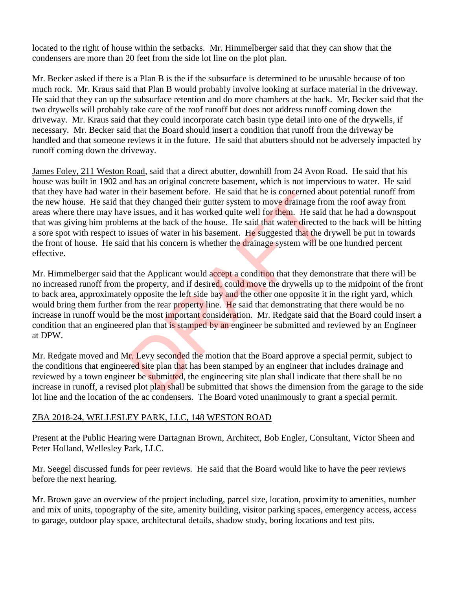located to the right of house within the setbacks. Mr. Himmelberger said that they can show that the condensers are more than 20 feet from the side lot line on the plot plan.

Mr. Becker asked if there is a Plan B is the if the subsurface is determined to be unusable because of too much rock. Mr. Kraus said that Plan B would probably involve looking at surface material in the driveway. He said that they can up the subsurface retention and do more chambers at the back. Mr. Becker said that the two drywells will probably take care of the roof runoff but does not address runoff coming down the driveway. Mr. Kraus said that they could incorporate catch basin type detail into one of the drywells, if necessary. Mr. Becker said that the Board should insert a condition that runoff from the driveway be handled and that someone reviews it in the future. He said that abutters should not be adversely impacted by runoff coming down the driveway.

James Foley, 211 Weston Road, said that a direct abutter, downhill from 24 Avon Road. He said that his house was built in 1902 and has an original concrete basement, which is not impervious to water. He said that they have had water in their basement before. He said that he is concerned about potential runoff from the new house. He said that they changed their gutter system to move drainage from the roof away from areas where there may have issues, and it has worked quite well for them. He said that he had a downspout that was giving him problems at the back of the house. He said that water directed to the back will be hitting a sore spot with respect to issues of water in his basement. He suggested that the drywell be put in towards the front of house. He said that his concern is whether the drainage system will be one hundred percent effective.

Mr. Himmelberger said that the Applicant would accept a condition that they demonstrate that there will be no increased runoff from the property, and if desired, could move the drywells up to the midpoint of the front to back area, approximately opposite the left side bay and the other one opposite it in the right yard, which would bring them further from the rear property line. He said that demonstrating that there would be no increase in runoff would be the most important consideration. Mr. Redgate said that the Board could insert a condition that an engineered plan that is stamped by an engineer be submitted and reviewed by an Engineer at DPW. If they changed their guiter system to move drainage from at they changed their gutter system to move drainage from e issues, and it has worked quite well for them. He said ims at the back of the house. He said that water

Mr. Redgate moved and Mr. Levy seconded the motion that the Board approve a special permit, subject to the conditions that engineered site plan that has been stamped by an engineer that includes drainage and reviewed by a town engineer be submitted, the engineering site plan shall indicate that there shall be no increase in runoff, a revised plot plan shall be submitted that shows the dimension from the garage to the side lot line and the location of the ac condensers. The Board voted unanimously to grant a special permit.

## ZBA 2018-24, WELLESLEY PARK, LLC, 148 WESTON ROAD

Present at the Public Hearing were Dartagnan Brown, Architect, Bob Engler, Consultant, Victor Sheen and Peter Holland, Wellesley Park, LLC.

Mr. Seegel discussed funds for peer reviews. He said that the Board would like to have the peer reviews before the next hearing.

Mr. Brown gave an overview of the project including, parcel size, location, proximity to amenities, number and mix of units, topography of the site, amenity building, visitor parking spaces, emergency access, access to garage, outdoor play space, architectural details, shadow study, boring locations and test pits.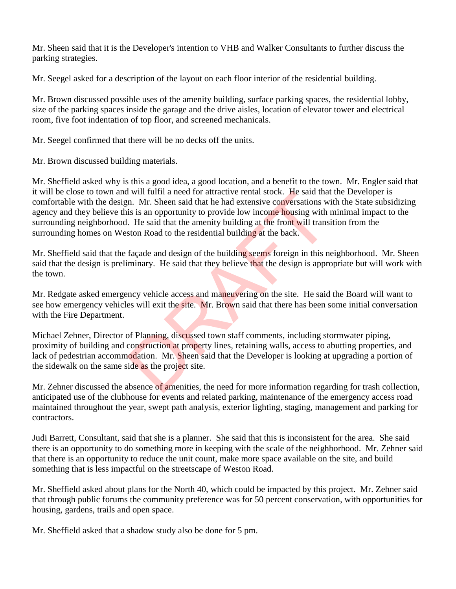Mr. Sheen said that it is the Developer's intention to VHB and Walker Consultants to further discuss the parking strategies.

Mr. Seegel asked for a description of the layout on each floor interior of the residential building.

Mr. Brown discussed possible uses of the amenity building, surface parking spaces, the residential lobby, size of the parking spaces inside the garage and the drive aisles, location of elevator tower and electrical room, five foot indentation of top floor, and screened mechanicals.

Mr. Seegel confirmed that there will be no decks off the units.

Mr. Brown discussed building materials.

Mr. Sheffield asked why is this a good idea, a good location, and a benefit to the town. Mr. Engler said that it will be close to town and will fulfil a need for attractive rental stock. He said that the Developer is comfortable with the design. Mr. Sheen said that he had extensive conversations with the State subsidizing agency and they believe this is an opportunity to provide low income housing with minimal impact to the surrounding neighborhood. He said that the amenity building at the front will transition from the surrounding homes on Weston Road to the residential building at the back. If will fulfil a need for attractive rental stock. He said that<br>m. Mr. Sheen said that he had extensive conversations w<br>is is an opportunity to provide low income housing with<br>. He said that the amenity building at the fro

Mr. Sheffield said that the façade and design of the building seems foreign in this neighborhood. Mr. Sheen said that the design is preliminary. He said that they believe that the design is appropriate but will work with the town.

Mr. Redgate asked emergency vehicle access and maneuvering on the site. He said the Board will want to see how emergency vehicles will exit the site. Mr. Brown said that there has been some initial conversation with the Fire Department.

Michael Zehner, Director of Planning, discussed town staff comments, including stormwater piping, proximity of building and construction at property lines, retaining walls, access to abutting properties, and lack of pedestrian accommodation. Mr. Sheen said that the Developer is looking at upgrading a portion of the sidewalk on the same side as the project site.

Mr. Zehner discussed the absence of amenities, the need for more information regarding for trash collection, anticipated use of the clubhouse for events and related parking, maintenance of the emergency access road maintained throughout the year, swept path analysis, exterior lighting, staging, management and parking for contractors.

Judi Barrett, Consultant, said that she is a planner. She said that this is inconsistent for the area. She said there is an opportunity to do something more in keeping with the scale of the neighborhood. Mr. Zehner said that there is an opportunity to reduce the unit count, make more space available on the site, and build something that is less impactful on the streetscape of Weston Road.

Mr. Sheffield asked about plans for the North 40, which could be impacted by this project. Mr. Zehner said that through public forums the community preference was for 50 percent conservation, with opportunities for housing, gardens, trails and open space.

Mr. Sheffield asked that a shadow study also be done for 5 pm.